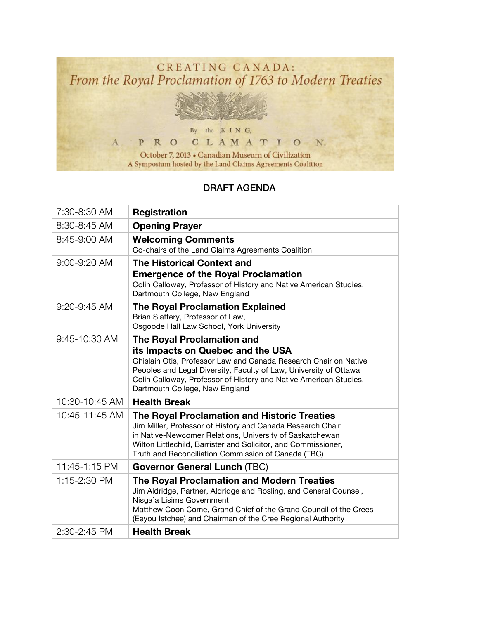

## DRAFT AGENDA

| 7:30-8:30 AM   | <b>Registration</b>                                                                                                                                                                                                                                                                                                    |
|----------------|------------------------------------------------------------------------------------------------------------------------------------------------------------------------------------------------------------------------------------------------------------------------------------------------------------------------|
| 8:30-8:45 AM   | <b>Opening Prayer</b>                                                                                                                                                                                                                                                                                                  |
| 8:45-9:00 AM   | <b>Welcoming Comments</b><br>Co-chairs of the Land Claims Agreements Coalition                                                                                                                                                                                                                                         |
| 9:00-9:20 AM   | <b>The Historical Context and</b><br><b>Emergence of the Royal Proclamation</b><br>Colin Calloway, Professor of History and Native American Studies,<br>Dartmouth College, New England                                                                                                                                 |
| 9:20-9:45 AM   | <b>The Royal Proclamation Explained</b><br>Brian Slattery, Professor of Law,<br>Osgoode Hall Law School, York University                                                                                                                                                                                               |
| 9:45-10:30 AM  | <b>The Royal Proclamation and</b><br>its Impacts on Quebec and the USA<br>Ghislain Otis, Professor Law and Canada Research Chair on Native<br>Peoples and Legal Diversity, Faculty of Law, University of Ottawa<br>Colin Calloway, Professor of History and Native American Studies,<br>Dartmouth College, New England |
| 10:30-10:45 AM | <b>Health Break</b>                                                                                                                                                                                                                                                                                                    |
| 10:45-11:45 AM | The Royal Proclamation and Historic Treaties<br>Jim Miller, Professor of History and Canada Research Chair<br>in Native-Newcomer Relations, University of Saskatchewan<br>Wilton Littlechild, Barrister and Solicitor, and Commissioner,<br>Truth and Reconciliation Commission of Canada (TBC)                        |
| 11:45-1:15 PM  | <b>Governor General Lunch (TBC)</b>                                                                                                                                                                                                                                                                                    |
| 1:15-2:30 PM   | The Royal Proclamation and Modern Treaties<br>Jim Aldridge, Partner, Aldridge and Rosling, and General Counsel,<br>Nisga'a Lisims Government<br>Matthew Coon Come, Grand Chief of the Grand Council of the Crees<br>(Eeyou Istchee) and Chairman of the Cree Regional Authority                                        |
| 2:30-2:45 PM   | <b>Health Break</b>                                                                                                                                                                                                                                                                                                    |